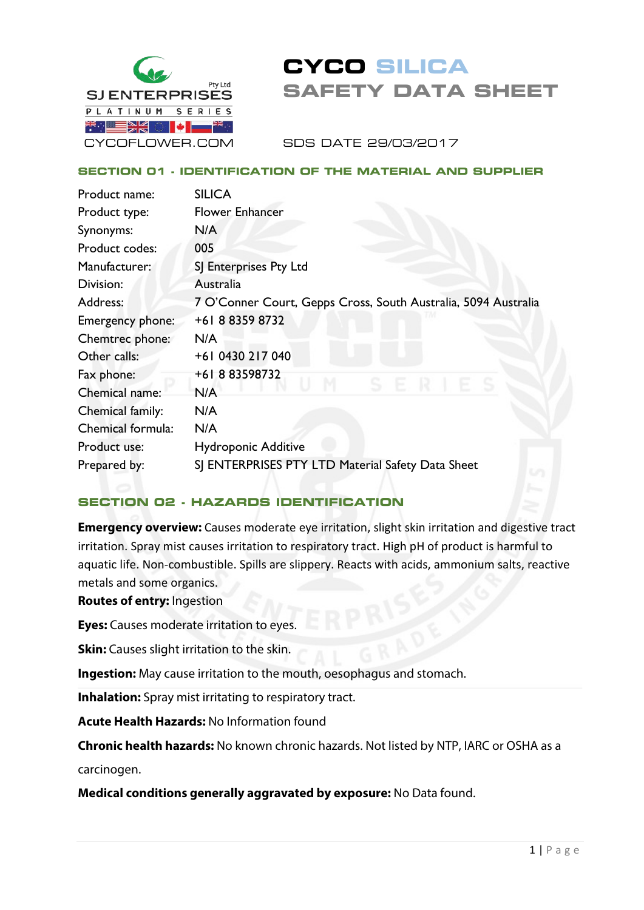

# **CYCO SILICA SAFETY DATA SHEET**

SDS DATE 29/03/2017

## **SECTION 01 - IDENTIFICATION OF THE MATERIAL AND SUPPLIER**

| Product name:     | <b>SILICA</b>                                                  |
|-------------------|----------------------------------------------------------------|
| Product type:     | <b>Flower Enhancer</b>                                         |
| Synonyms:         | N/A                                                            |
| Product codes:    | 005                                                            |
| Manufacturer:     | SJ Enterprises Pty Ltd                                         |
| Division:         | Australia                                                      |
| Address:          | 7 O'Conner Court, Gepps Cross, South Australia, 5094 Australia |
| Emergency phone:  | +61883598732                                                   |
| Chemtrec phone:   | N/A                                                            |
| Other calls:      | +61 0430 217 040                                               |
| Fax phone:        | +61883598732                                                   |
| Chemical name:    | N/A                                                            |
| Chemical family:  | N/A                                                            |
| Chemical formula: | N/A                                                            |
| Product use:      | <b>Hydroponic Additive</b>                                     |
| Prepared by:      | SJ ENTERPRISES PTY LTD Material Safety Data Sheet              |
|                   |                                                                |

## **SECTION 02 - HAZARDS IDENTIFICATION**

**Emergency overview:** Causes moderate eye irritation, slight skin irritation and digestive tract irritation. Spray mist causes irritation to respiratory tract. High pH of product is harmful to aquatic life. Non-combustible. Spills are slippery. Reacts with acids, ammonium salts, reactive metals and some organics.

#### **Routes of entry:** Ingestion

**Eyes:** Causes moderate irritation to eyes.

**Skin:** Causes slight irritation to the skin.

**Ingestion:** May cause irritation to the mouth, oesophagus and stomach.

**Inhalation:** Spray mist irritating to respiratory tract.

**Acute Health Hazards:** No Information found

**Chronic health hazards:** No known chronic hazards. Not listed by NTP, IARC or OSHA as a

carcinogen.

**Medical conditions generally aggravated by exposure:** No Data found.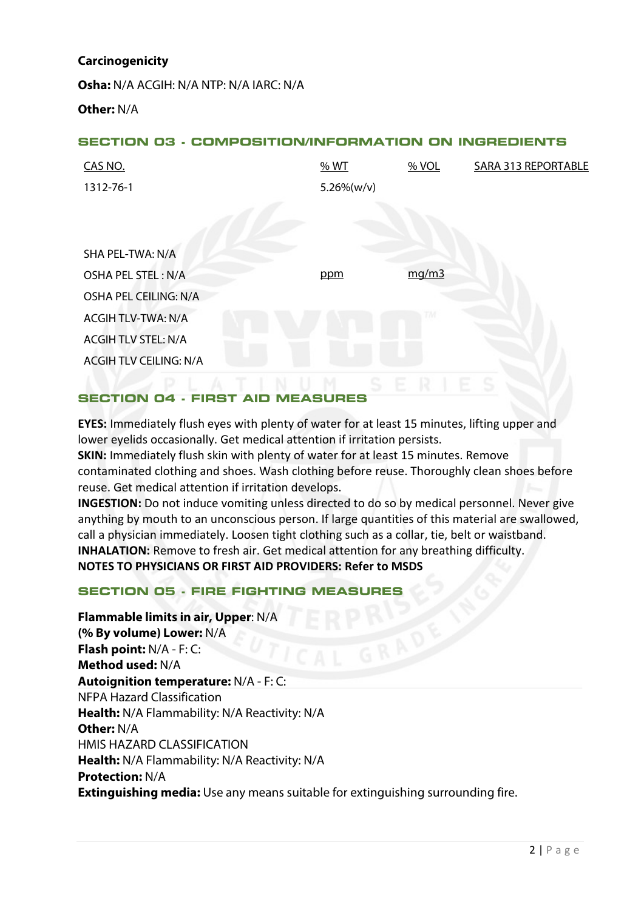#### **Carcinogenicity**

**Osha:** N/A ACGIH: N/A NTP: N/A IARC: N/A **Other:** N/A

#### **SECTION 03 - COMPOSITION/INFORMATION ON INGREDIENTS**

| CAS NO.                       | %WT            | % VOL | <b>SARA 313 REPORTABLE</b> |
|-------------------------------|----------------|-------|----------------------------|
| 1312-76-1                     | $5.26\% (w/v)$ |       |                            |
|                               |                |       |                            |
|                               |                |       |                            |
| SHA PEL-TWA: N/A              |                |       |                            |
| OSHA PEL STEL: N/A            | ppm            | mg/m3 |                            |
| OSHA PEL CEILING: N/A         |                |       |                            |
| <b>ACGIH TLV-TWA: N/A</b>     |                | ГΜ    |                            |
| <b>ACGIH TLV STEL: N/A</b>    |                |       |                            |
| <b>ACGIH TLV CEILING: N/A</b> |                |       |                            |
|                               |                |       |                            |

#### **SECTION 04 - FIRST AID MEASURES**

**EYES:** Immediately flush eyes with plenty of water for at least 15 minutes, lifting upper and lower eyelids occasionally. Get medical attention if irritation persists.

**SKIN:** Immediately flush skin with plenty of water for at least 15 minutes. Remove contaminated clothing and shoes. Wash clothing before reuse. Thoroughly clean shoes before reuse. Get medical attention if irritation develops.

**INGESTION:** Do not induce vomiting unless directed to do so by medical personnel. Never give anything by mouth to an unconscious person. If large quantities of this material are swallowed, call a physician immediately. Loosen tight clothing such as a collar, tie, belt or waistband. **INHALATION:** Remove to fresh air. Get medical attention for any breathing difficulty. **NOTES TO PHYSICIANS OR FIRST AID PROVIDERS: Refer to MSDS**

## **SECTION 05 - FIRE FIGHTING MEASURES**

## **Flammable limits in air, Upper**: N/A **(% By volume) Lower:** N/A **Flash point:** N/A - F: C: **Method used:** N/A **Autoignition temperature:** N/A - F: C: NFPA Hazard Classification **Health:** N/A Flammability: N/A Reactivity: N/A **Other:** N/A HMIS HAZARD CLASSIFICATION **Health:** N/A Flammability: N/A Reactivity: N/A **Protection:** N/A **Extinguishing media:** Use any means suitable for extinguishing surrounding fire.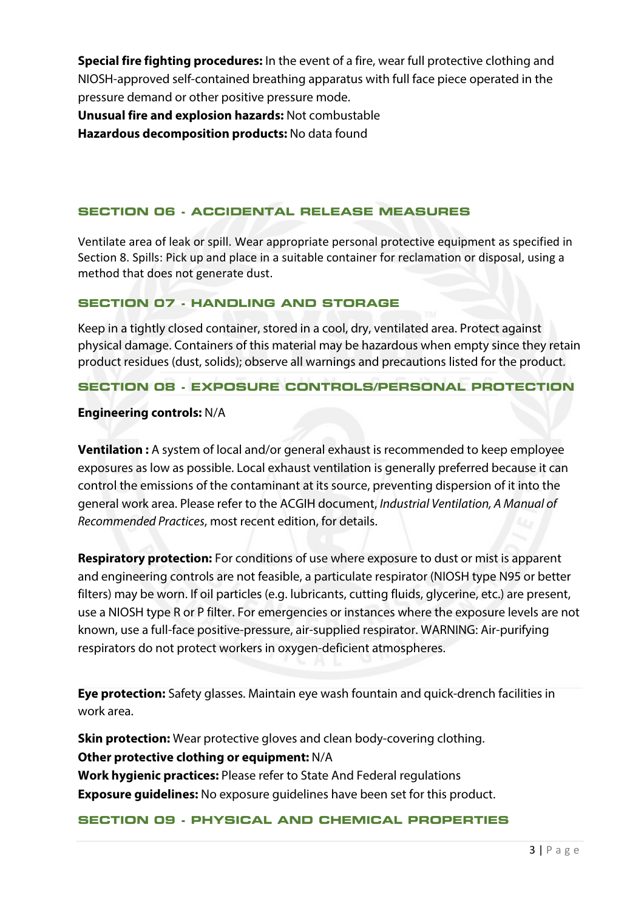**Special fire fighting procedures:** In the event of a fire, wear full protective clothing and NIOSH-approved self-contained breathing apparatus with full face piece operated in the pressure demand or other positive pressure mode.

**Unusual fire and explosion hazards:** Not combustable **Hazardous decomposition products:** No data found

## **SECTION 06 - ACCIDENTAL RELEASE MEASURES**

Ventilate area of leak or spill. Wear appropriate personal protective equipment as specified in Section 8. Spills: Pick up and place in a suitable container for reclamation or disposal, using a method that does not generate dust.

## **SECTION 07 - HANDLING AND STORAGE**

Keep in a tightly closed container, stored in a cool, dry, ventilated area. Protect against physical damage. Containers of this material may be hazardous when empty since they retain product residues (dust, solids); observe all warnings and precautions listed for the product.

#### **SECTION 08 - EXPOSURE CONTROLS/PERSONAL PROTECTION**

#### **Engineering controls:** N/A

**Ventilation :** A system of local and/or general exhaust is recommended to keep employee exposures as low as possible. Local exhaust ventilation is generally preferred because it can control the emissions of the contaminant at its source, preventing dispersion of it into the general work area. Please refer to the ACGIH document, *Industrial Ventilation, A Manual of Recommended Practices*, most recent edition, for details.

**Respiratory protection:** For conditions of use where exposure to dust or mist is apparent and engineering controls are not feasible, a particulate respirator (NIOSH type N95 or better filters) may be worn. If oil particles (e.g. lubricants, cutting fluids, glycerine, etc.) are present, use a NIOSH type R or P filter. For emergencies or instances where the exposure levels are not known, use a full-face positive-pressure, air-supplied respirator. WARNING: Air-purifying respirators do not protect workers in oxygen-deficient atmospheres.

**Eye protection:** Safety glasses. Maintain eye wash fountain and quick-drench facilities in work area.

**Skin protection:** Wear protective gloves and clean body-covering clothing. **Other protective clothing or equipment:** N/A **Work hygienic practices:** Please refer to State And Federal regulations **Exposure guidelines:** No exposure guidelines have been set for this product.

#### **SECTION 09 - PHYSICAL AND CHEMICAL PROPERTIES**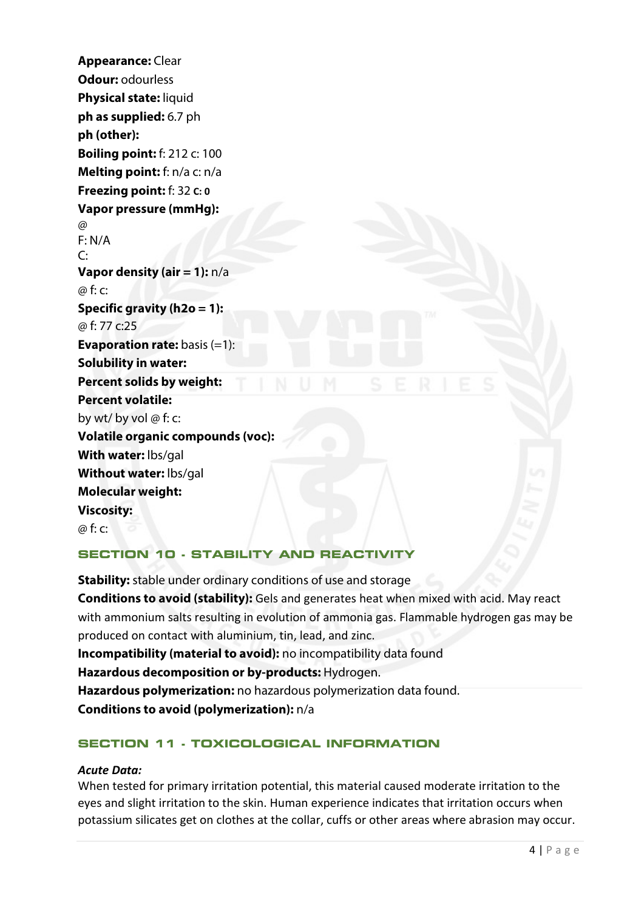**Appearance:** Clear **Odour:** odourless **Physical state:** liquid **ph as supplied:** 6.7 ph **ph (other): Boiling point:**  $f: 212$  c: 100 **Melting point:** f: n/a c: n/a **Freezing point:** f: 32 **C: 0 Vapor pressure (mmHg):**   $\omega$ F: N/A  $\mathsf{C}^{\mathsf{C}}$ **Vapor density (air = 1):** n/a @ f: c: **Specific gravity (h2o = 1):** @ f: 77 c:25 **Evaporation rate:** basis (=1): **Solubility in water: Percent solids by weight: Percent volatile:**  by wt/ by vol @ f: c: **Volatile organic compounds (voc): With water:** lbs/gal **Without water:** lbs/gal **Molecular weight: Viscosity:**   $\omega$  f:  $\sim$ 

## **SECTION 10 - STABILITY AND REACTIVITY**

**Stability:** stable under ordinary conditions of use and storage **Conditions to avoid (stability):** Gels and generates heat when mixed with acid. May react with ammonium salts resulting in evolution of ammonia gas. Flammable hydrogen gas may be produced on contact with aluminium, tin, lead, and zinc. **Incompatibility (material to avoid):** no incompatibility data found **Hazardous decomposition or by-products:** Hydrogen. **Hazardous polymerization:** no hazardous polymerization data found. **Conditions to avoid (polymerization):** n/a

## **SECTION 11 - TOXICOLOGICAL INFORMATION**

## *Acute Data:*

When tested for primary irritation potential, this material caused moderate irritation to the eyes and slight irritation to the skin. Human experience indicates that irritation occurs when potassium silicates get on clothes at the collar, cuffs or other areas where abrasion may occur.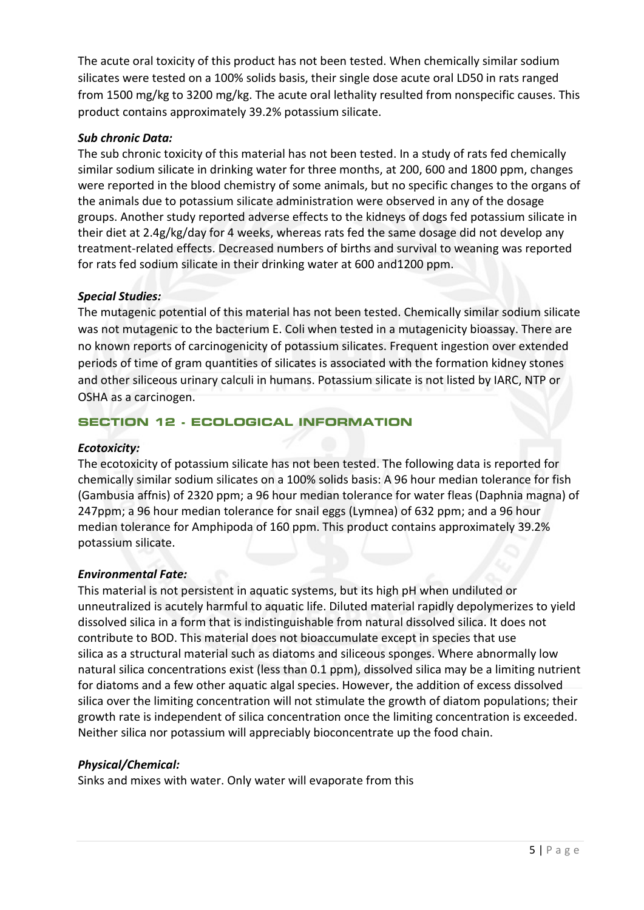The acute oral toxicity of this product has not been tested. When chemically similar sodium silicates were tested on a 100% solids basis, their single dose acute oral LD50 in rats ranged from 1500 mg/kg to 3200 mg/kg. The acute oral lethality resulted from nonspecific causes. This product contains approximately 39.2% potassium silicate.

#### *Sub chronic Data:*

The sub chronic toxicity of this material has not been tested. In a study of rats fed chemically similar sodium silicate in drinking water for three months, at 200, 600 and 1800 ppm, changes were reported in the blood chemistry of some animals, but no specific changes to the organs of the animals due to potassium silicate administration were observed in any of the dosage groups. Another study reported adverse effects to the kidneys of dogs fed potassium silicate in their diet at 2.4g/kg/day for 4 weeks, whereas rats fed the same dosage did not develop any treatment-related effects. Decreased numbers of births and survival to weaning was reported for rats fed sodium silicate in their drinking water at 600 and1200 ppm.

#### *Special Studies:*

The mutagenic potential of this material has not been tested. Chemically similar sodium silicate was not mutagenic to the bacterium E. Coli when tested in a mutagenicity bioassay. There are no known reports of carcinogenicity of potassium silicates. Frequent ingestion over extended periods of time of gram quantities of silicates is associated with the formation kidney stones and other siliceous urinary calculi in humans. Potassium silicate is not listed by IARC, NTP or OSHA as a carcinogen.

## **SECTION 12 - ECOLOGICAL INFORMATION**

#### *Ecotoxicity:*

The ecotoxicity of potassium silicate has not been tested. The following data is reported for chemically similar sodium silicates on a 100% solids basis: A 96 hour median tolerance for fish (Gambusia affnis) of 2320 ppm; a 96 hour median tolerance for water fleas (Daphnia magna) of 247ppm; a 96 hour median tolerance for snail eggs (Lymnea) of 632 ppm; and a 96 hour median tolerance for Amphipoda of 160 ppm. This product contains approximately 39.2% potassium silicate.

## *Environmental Fate:*

This material is not persistent in aquatic systems, but its high pH when undiluted or unneutralized is acutely harmful to aquatic life. Diluted material rapidly depolymerizes to yield dissolved silica in a form that is indistinguishable from natural dissolved silica. It does not contribute to BOD. This material does not bioaccumulate except in species that use silica as a structural material such as diatoms and siliceous sponges. Where abnormally low natural silica concentrations exist (less than 0.1 ppm), dissolved silica may be a limiting nutrient for diatoms and a few other aquatic algal species. However, the addition of excess dissolved silica over the limiting concentration will not stimulate the growth of diatom populations; their growth rate is independent of silica concentration once the limiting concentration is exceeded. Neither silica nor potassium will appreciably bioconcentrate up the food chain.

## *Physical/Chemical:*

Sinks and mixes with water. Only water will evaporate from this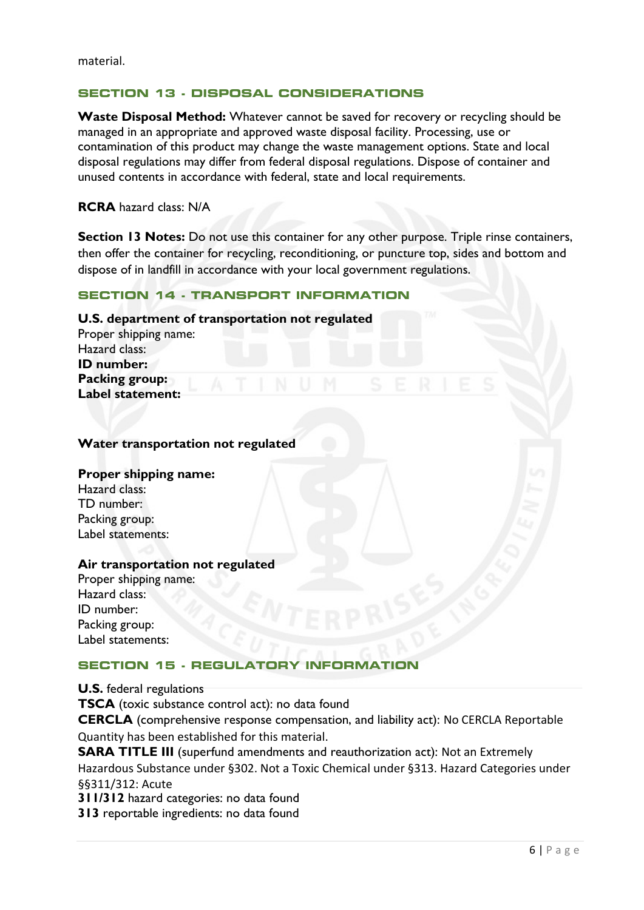#### **SECTION 13 - DISPOSAL CONSIDERATIONS**

**Waste Disposal Method:** Whatever cannot be saved for recovery or recycling should be managed in an appropriate and approved waste disposal facility. Processing, use or contamination of this product may change the waste management options. State and local disposal regulations may differ from federal disposal regulations. Dispose of container and unused contents in accordance with federal, state and local requirements.

**RCRA** hazard class: N/A

**Section 13 Notes:** Do not use this container for any other purpose. Triple rinse containers, then offer the container for recycling, reconditioning, or puncture top, sides and bottom and dispose of in landfill in accordance with your local government regulations.

#### **SECTION 14 - TRANSPORT INFORMATION**

#### **U.S. department of transportation not regulated**

Proper shipping name: Hazard class: **ID number: Packing group: Label statement:**

#### **Water transportation not regulated**

#### **Proper shipping name:**

Hazard class: TD number: Packing group: Label statements:

#### **Air transportation not regulated**

Proper shipping name: Hazard class: ID number: Packing group: Label statements:

#### **SECTION 15 - REGULATORY INFORMATION**

**U.S.** federal regulations **TSCA** (toxic substance control act): no data found **CERCLA** (comprehensive response compensation, and liability act): No CERCLA Reportable Quantity has been established for this material. **SARA TITLE III** (superfund amendments and reauthorization act): Not an Extremely Hazardous Substance under §302. Not a Toxic Chemical under §313. Hazard Categories under §§311/312: Acute **311/312** hazard categories: no data found **313** reportable ingredients: no data found